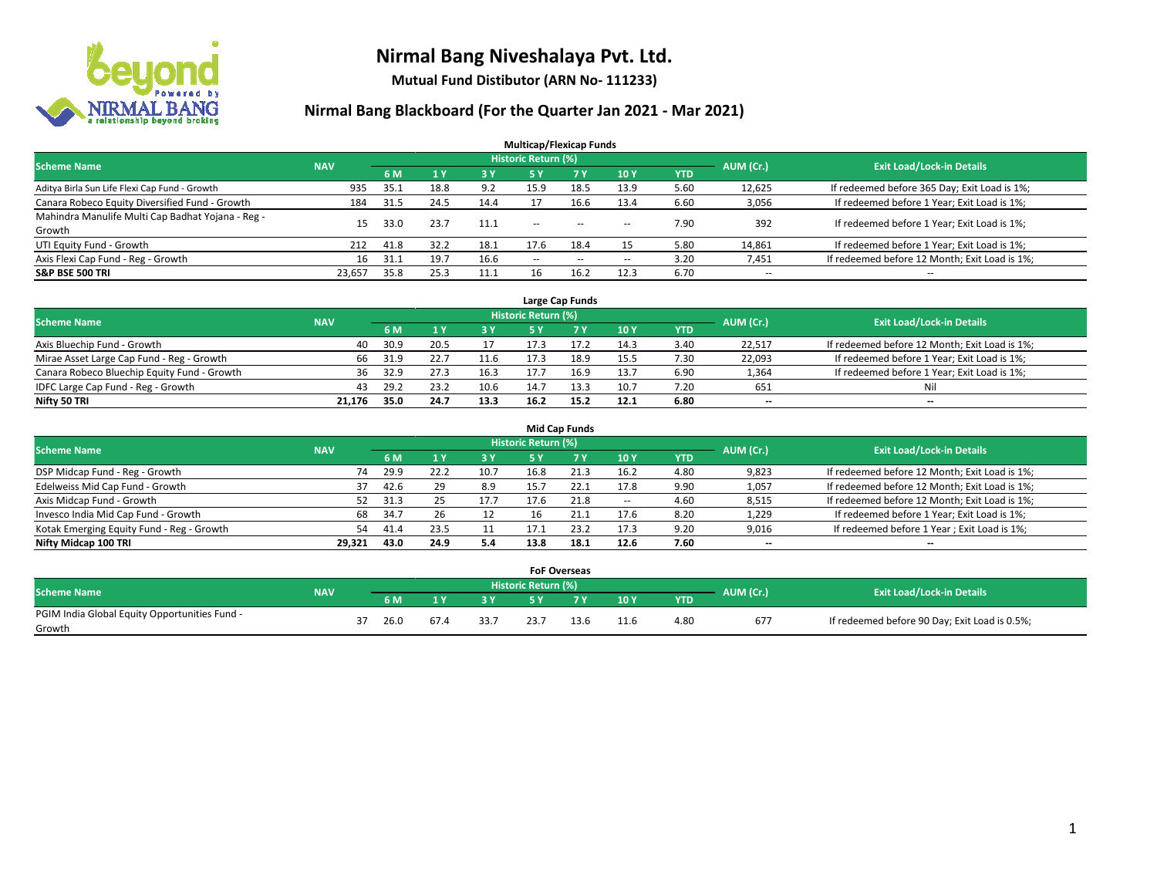

**Mutual Fund Distibutor (ARN No- 111233)**

| <b>Multicap/Flexicap Funds</b>                    |            |      |      |            |                            |                                                |                          |            |                          |                                               |  |  |  |
|---------------------------------------------------|------------|------|------|------------|----------------------------|------------------------------------------------|--------------------------|------------|--------------------------|-----------------------------------------------|--|--|--|
| <b>Scheme Name</b>                                | <b>NAV</b> |      |      |            | <b>Historic Return (%)</b> |                                                |                          |            | AUM (Cr.)                | <b>Exit Load/Lock-in Details</b>              |  |  |  |
|                                                   |            | 6 M  | 1Y   | <b>3 Y</b> | 5 Y                        | <b>7 Y</b>                                     | <b>10Y</b>               | <b>YTD</b> |                          |                                               |  |  |  |
| Aditya Birla Sun Life Flexi Cap Fund - Growth     | 935        | 35.1 | 18.8 | 9.2        | 15.9                       | 18.5                                           | 13.9                     | 5.60       | 12,625                   | If redeemed before 365 Day; Exit Load is 1%;  |  |  |  |
| Canara Robeco Equity Diversified Fund - Growth    | 184        | 31.5 | 24.5 | 14.4       |                            | 16.6                                           | 13.4                     | 6.60       | 3,056                    | If redeemed before 1 Year; Exit Load is 1%;   |  |  |  |
| Mahindra Manulife Multi Cap Badhat Yojana - Reg - | 15         | 33.0 | 23.7 | 11.1       | $\sim$ $\sim$              | $\hspace{0.1mm}-\hspace{0.1mm}-\hspace{0.1mm}$ |                          | 7.90       | 392                      | If redeemed before 1 Year; Exit Load is 1%;   |  |  |  |
| Growth                                            |            |      |      |            |                            |                                                | $\overline{\phantom{a}}$ |            |                          |                                               |  |  |  |
| UTI Equity Fund - Growth                          | 212        | 41.8 | 32.2 | 18.1       | 17.6                       | 18.4                                           | 15                       | 5.80       | 14,861                   | If redeemed before 1 Year; Exit Load is 1%;   |  |  |  |
| Axis Flexi Cap Fund - Reg - Growth                | 16         | 31.1 | 19.7 | 16.6       | $\overline{\phantom{a}}$   | $\sim$                                         | $\overline{\phantom{a}}$ | 3.20       | 7,451                    | If redeemed before 12 Month; Exit Load is 1%; |  |  |  |
| <b>S&amp;P BSE 500 TRI</b>                        | 23.657     | 35.8 | 25.3 |            | 16                         | 16.2                                           | 12.3                     | 6.70       | $\overline{\phantom{a}}$ | $- -$                                         |  |  |  |

|                                             |            |      |      |      |                            | Large Cap Funds |      |            |           |                                               |
|---------------------------------------------|------------|------|------|------|----------------------------|-----------------|------|------------|-----------|-----------------------------------------------|
| <b>Scheme Name</b>                          | <b>NAV</b> |      |      |      | <b>Historic Return (%)</b> |                 |      |            | AUM (Cr.) | <b>Exit Load/Lock-in Details</b>              |
|                                             |            | 6 M  |      | 3Y   |                            | <b>7Y</b>       | 10Y  | <b>YTD</b> |           |                                               |
| Axis Bluechip Fund - Growth                 | 40         | 30.9 | 20.5 |      | 17.3                       |                 | 14.3 | 3.40       | 22,517    | If redeemed before 12 Month; Exit Load is 1%; |
| Mirae Asset Large Cap Fund - Reg - Growth   | 66.        | 31.9 |      | 11.6 |                            | 18.9            | 15.5 | 7.30       | 22,093    | If redeemed before 1 Year; Exit Load is 1%;   |
| Canara Robeco Bluechip Equity Fund - Growth | 36         | 32.9 | 27.3 | 16.3 |                            | 16.9            | 13.7 | 6.90       | 1,364     | If redeemed before 1 Year; Exit Load is 1%;   |
| IDFC Large Cap Fund - Reg - Growth          | 43         | 29.2 | 23.2 | 10.6 | 14.7                       | 13.3            | 10.7 | 7.20       | 651       | Nil                                           |
| Nifty 50 TRI                                | 21.176     | 35.0 | 24.7 | 13.3 | 16.2                       | 15.2            | 12.1 | 6.80       | $- -$     | $- -$                                         |

|                                           |            |            |                                  |           |      | <b>Mid Cap Funds</b> |       |            |                          |                                               |
|-------------------------------------------|------------|------------|----------------------------------|-----------|------|----------------------|-------|------------|--------------------------|-----------------------------------------------|
| <b>Scheme Name</b>                        | <b>NAV</b> | AUM (Cr.)  | <b>Exit Load/Lock-in Details</b> |           |      |                      |       |            |                          |                                               |
|                                           |            | 6 M        |                                  | <b>3Y</b> | 5 Y  |                      | 10Y   | <b>YTD</b> |                          |                                               |
| DSP Midcap Fund - Reg - Growth            |            | 29.9<br>74 | 22.2                             | 10.7      | 16.8 | 21.3                 | 16.2  | 4.80       | 9,823                    | If redeemed before 12 Month; Exit Load is 1%; |
| Edelweiss Mid Cap Fund - Growth           |            | 42.6<br>37 | 29                               | 8.9       | 15.7 | 22.1                 | 17.8  | 9.90       | 1,057                    | If redeemed before 12 Month; Exit Load is 1%; |
| Axis Midcap Fund - Growth                 |            | 52<br>31.3 |                                  | 17.7      | 17.6 | 21.8                 | $\!-$ | 4.60       | 8,515                    | If redeemed before 12 Month; Exit Load is 1%; |
| Invesco India Mid Cap Fund - Growth       |            | 68<br>34.7 | 26                               |           | 16   |                      | 17.6  | 8.20       | 1,229                    | If redeemed before 1 Year; Exit Load is 1%;   |
| Kotak Emerging Equity Fund - Reg - Growth |            | 54<br>41.4 | 23.5                             |           | 17.1 | 23.2                 | 17.3  | 9.20       | 9,016                    | If redeemed before 1 Year; Exit Load is 1%;   |
| Nifty Midcap 100 TRI                      | 29.321     | 43.0       | 24.9                             | 5.4       | 13.8 | 18.1                 | 12.6  | 7.60       | $\overline{\phantom{m}}$ | $\overline{\phantom{a}}$                      |

|                                                         |            |      |      |        | <b>FoF Overseas</b>        |     |           |            |           |                                               |
|---------------------------------------------------------|------------|------|------|--------|----------------------------|-----|-----------|------------|-----------|-----------------------------------------------|
| Scheme Name                                             | <b>NAV</b> |      |      |        | <b>Historic Return (%)</b> |     |           |            | AUM (Cr.) | <b>Exit Load/Lock-in Details</b>              |
|                                                         |            | 6 M  |      | $\sim$ |                            | 7 V | 10Y       | <b>YTD</b> |           |                                               |
| PGIM India Global Equity Opportunities Fund -<br>Growth |            | 26.0 | 67.4 | 33.7   | 23.7                       |     | 116<br>ᅩᅩ | 4.80       | 677       | If redeemed before 90 Day; Exit Load is 0.5%; |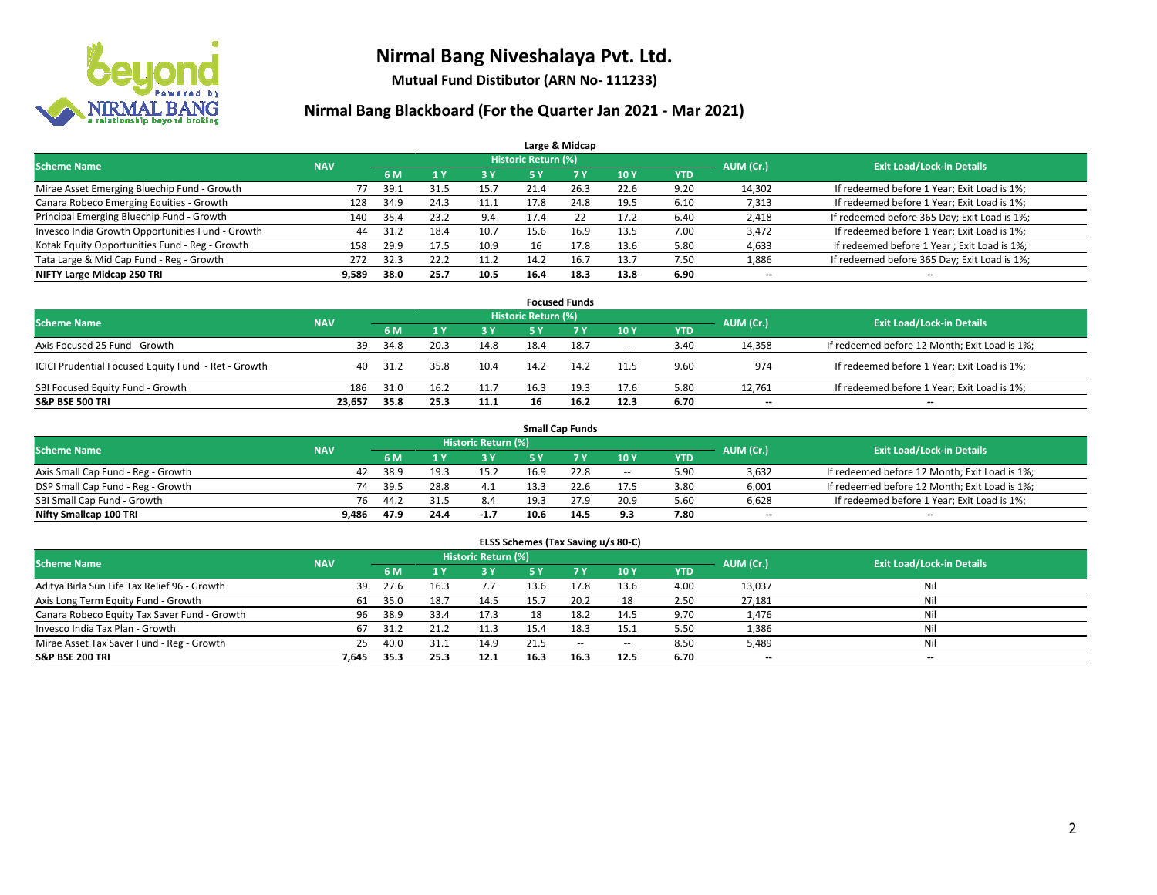

**Mutual Fund Distibutor (ARN No- 111233)**

|                                                  |            |      |      |      |                            | Large & Midcap |      |            |                          |                                              |
|--------------------------------------------------|------------|------|------|------|----------------------------|----------------|------|------------|--------------------------|----------------------------------------------|
| <b>Scheme Name</b>                               | <b>NAV</b> |      |      |      | <b>Historic Return (%)</b> |                |      |            | AUM (Cr.)                | <b>Exit Load/Lock-in Details</b>             |
|                                                  |            | 6 M  |      | 3 Y  | 5 Y                        | 7 <sup>V</sup> | 10Y  | <b>YTD</b> |                          |                                              |
| Mirae Asset Emerging Bluechip Fund - Growth      | 77         | 39.1 | 31.5 | 15.7 | 21.4                       | 26.3           | 22.6 | 9.20       | 14,302                   | If redeemed before 1 Year; Exit Load is 1%;  |
| Canara Robeco Emerging Equities - Growth         | 128        | 34.9 | 24.3 | 11.1 | 17.8                       | 24.8           | 19.5 | 6.10       | 7,313                    | If redeemed before 1 Year; Exit Load is 1%;  |
| Principal Emerging Bluechip Fund - Growth        | 140        | 35.4 | 23.2 | 9.4  | 17.4                       | 22             | 17.2 | 6.40       | 2,418                    | If redeemed before 365 Day; Exit Load is 1%; |
| Invesco India Growth Opportunities Fund - Growth | 44         | 31.2 | 18.4 | 10.7 | 15.6                       | 16.9           | 13.5 | 7.00       | 3,472                    | If redeemed before 1 Year; Exit Load is 1%;  |
| Kotak Equity Opportunities Fund - Reg - Growth   | 158        | 29.9 | 17.5 | 10.9 | 16                         | 17.8           | 13.6 | 5.80       | 4,633                    | If redeemed before 1 Year; Exit Load is 1%;  |
| Tata Large & Mid Cap Fund - Reg - Growth         | 272        | 32.3 | 22.2 | 11.2 | 14.2                       | 16.7           | 13.7 | 7.50       | 1,886                    | If redeemed before 365 Day; Exit Load is 1%; |
| NIFTY Large Midcap 250 TRI                       | 9,589      | 38.0 | 25.7 | 10.5 | 16.4                       | 18.3           | 13.8 | 6.90       | $\overline{\phantom{a}}$ | --                                           |

| <b>Focused Funds</b>                                |            |      |      |      |                     |      |        |            |           |                                               |  |  |  |
|-----------------------------------------------------|------------|------|------|------|---------------------|------|--------|------------|-----------|-----------------------------------------------|--|--|--|
| <b>Scheme Name</b>                                  | <b>NAV</b> |      |      |      | Historic Return (%) |      |        |            | AUM (Cr.) | <b>Exit Load/Lock-in Details</b>              |  |  |  |
|                                                     |            | 6 M  |      | 3 Y  | 5 ۷                 |      | 10Y    | <b>YTD</b> |           |                                               |  |  |  |
| Axis Focused 25 Fund - Growth                       | 39         | 34.8 | 20.3 | 14.8 | 18.4                | 18.7 | $\sim$ | 3.40       | 14,358    | If redeemed before 12 Month; Exit Load is 1%; |  |  |  |
| ICICI Prudential Focused Equity Fund - Ret - Growth | 40         | 31.2 | 35.8 | 10.4 | 14.2                | 14.2 | 11.5   | 9.60       | 974       | If redeemed before 1 Year; Exit Load is 1%;   |  |  |  |
| SBI Focused Equity Fund - Growth                    | 186        | 31.0 | 16.2 | 11.7 | 16.3                | 19.3 | 17.6   | 5.80       | 12,761    | If redeemed before 1 Year; Exit Load is 1%;   |  |  |  |
| <b>S&amp;P BSE 500 TRI</b>                          | 23.657     | 35.8 | 25.3 | 11.1 | 16                  | 16.2 | 12.3   | 6.70       | $- -$     | $\overline{\phantom{a}}$                      |  |  |  |

|                                    |            |      |      |                     |      | <b>Small Cap Funds</b> |                          |            |           |                                               |
|------------------------------------|------------|------|------|---------------------|------|------------------------|--------------------------|------------|-----------|-----------------------------------------------|
| <b>Scheme Name</b>                 | <b>NAV</b> |      |      | Historic Return (%) |      |                        |                          |            | AUM (Cr.) | <b>Exit Load/Lock-in Details</b>              |
|                                    |            | 6 M  |      | <b>3 Y</b>          |      |                        | 10Y                      | <b>YTD</b> |           |                                               |
| Axis Small Cap Fund - Reg - Growth | 42         | 38.9 |      | 15.2                | 16.9 | 22.8                   | $\overline{\phantom{a}}$ | 5.90       | 3,632     | If redeemed before 12 Month; Exit Load is 1%; |
| DSP Small Cap Fund - Reg - Growth  | 74         | 39.5 | 28.8 | -4.1                | 13.3 | 22.6                   | 17.5                     | 3.80       | 6,001     | If redeemed before 12 Month; Exit Load is 1%; |
| SBI Small Cap Fund - Growth        | 76         | 44.2 | 31.5 | 8.4                 | 19.3 | 27.9                   | 20.9                     | 5.60       | 6,628     | If redeemed before 1 Year; Exit Load is 1%;   |
| Nifty Smallcap 100 TRI             | 9.486      | 47.9 | 24.4 | $-1.7$              | 10.6 | 14.5                   | 9.3                      | 7.80       | $- -$     | $\overline{\phantom{a}}$                      |

| ELSS Schemes (Tax Saving u/s 80-C)           |                                                                             |      |      |      |           |        |            |            |        |                                  |  |  |  |  |
|----------------------------------------------|-----------------------------------------------------------------------------|------|------|------|-----------|--------|------------|------------|--------|----------------------------------|--|--|--|--|
|                                              | <b>Historic Return (%)</b><br><b>Scheme Name</b><br>AUM (Cr.)<br><b>NAV</b> |      |      |      |           |        |            |            |        |                                  |  |  |  |  |
|                                              |                                                                             | 6 M  | 71 Y | 3 Y  | <b>5Y</b> | 7V     | <b>10Y</b> | <b>YTD</b> |        | <b>Exit Load/Lock-in Details</b> |  |  |  |  |
| Aditya Birla Sun Life Tax Relief 96 - Growth | 39                                                                          | 27.6 | 16.3 |      | 13.6      |        | 13.6       | 4.00       | 13,037 | Nil                              |  |  |  |  |
| Axis Long Term Equity Fund - Growth          | 61                                                                          | 35.0 | 18.7 | 14.5 | 15.7      | 20.2   | 18         | 2.50       | 27,181 | Nil                              |  |  |  |  |
| Canara Robeco Equity Tax Saver Fund - Growth | 96                                                                          | 38.9 | 33.4 | 17.3 | 18        | 18.2   | 14.5       | 9.70       | 1,476  | Nil                              |  |  |  |  |
| Invesco India Tax Plan - Growth              | 67                                                                          | 31.2 | 21.2 | 11.3 | 15.4      | 18.3   | 15.1       | 5.50       | 1,386  | Nil                              |  |  |  |  |
| Mirae Asset Tax Saver Fund - Reg - Growth    | 25                                                                          | 40.0 | 31.1 | 14.9 | 21.5      | $\sim$ | $\sim$     | 8.50       | 5,489  | Nil                              |  |  |  |  |
| S&P BSE 200 TRI                              | 7,645                                                                       | 35.3 | 25.3 | 12.1 | 16.3      | 16.3   | 12.5       | 6.70       | $- -$  | $-$                              |  |  |  |  |
|                                              |                                                                             |      |      |      |           |        |            |            |        |                                  |  |  |  |  |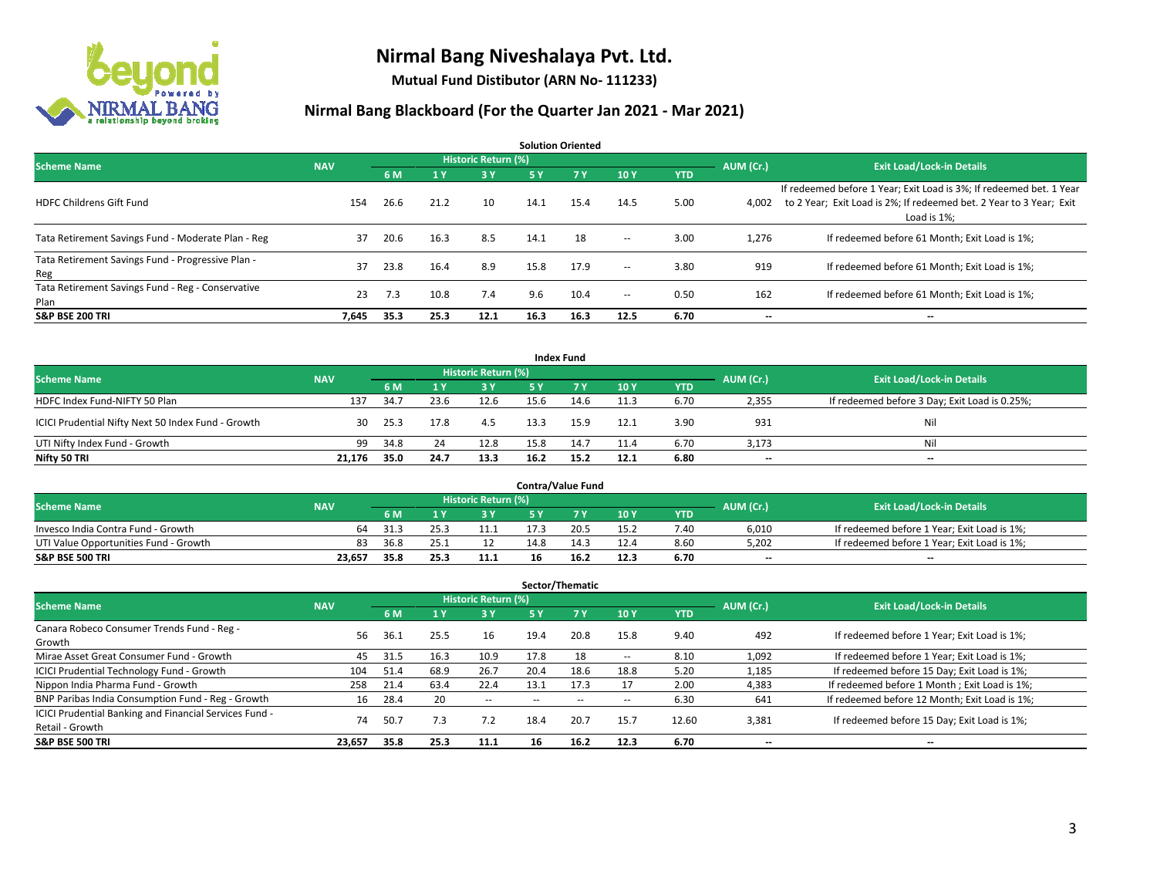

**Mutual Fund Distibutor (ARN No- 111233)**

| <b>Solution Oriented</b>                                  |            |      |      |                            |      |           |                          |            |           |                                                                                                                                                           |  |  |  |
|-----------------------------------------------------------|------------|------|------|----------------------------|------|-----------|--------------------------|------------|-----------|-----------------------------------------------------------------------------------------------------------------------------------------------------------|--|--|--|
| <b>Scheme Name</b>                                        | <b>NAV</b> |      |      | <b>Historic Return (%)</b> |      |           |                          |            | AUM (Cr.) | <b>Exit Load/Lock-in Details</b>                                                                                                                          |  |  |  |
|                                                           |            | 6 M  | 1 Y  | <b>3Y</b>                  | 5 Y  | <b>7Y</b> | 10Y                      | <b>YTD</b> |           |                                                                                                                                                           |  |  |  |
| <b>HDFC Childrens Gift Fund</b>                           | 154        | 26.6 | 21.2 | 10 <sup>1</sup>            | 14.1 | 15.4      | 14.5                     | 5.00       | 4,002     | If redeemed before 1 Year; Exit Load is 3%; If redeemed bet. 1 Year<br>to 2 Year; Exit Load is 2%; If redeemed bet. 2 Year to 3 Year; Exit<br>Load is 1%: |  |  |  |
| Tata Retirement Savings Fund - Moderate Plan - Reg        | 37         | 20.6 | 16.3 | 8.5                        | 14.1 | 18        | $\overline{\phantom{a}}$ | 3.00       | 1,276     | If redeemed before 61 Month; Exit Load is 1%;                                                                                                             |  |  |  |
| Tata Retirement Savings Fund - Progressive Plan -<br>Reg  | 37         | 23.8 | 16.4 | 8.9                        | 15.8 | 17.9      | $\sim$                   | 3.80       | 919       | If redeemed before 61 Month; Exit Load is 1%;                                                                                                             |  |  |  |
| Tata Retirement Savings Fund - Reg - Conservative<br>Plan | 23         | 7.3  | 10.8 | 7.4                        | 9.6  | 10.4      | $\!-$                    | 0.50       | 162       | If redeemed before 61 Month; Exit Load is 1%;                                                                                                             |  |  |  |
| <b>S&amp;P BSE 200 TRI</b>                                | 7,645      | 35.3 | 25.3 | 12.1                       | 16.3 | 16.3      | 12.5                     | 6.70       | --        | --                                                                                                                                                        |  |  |  |

|                                                    |            |                                  |      |       |      | <b>Index Fund</b> |      |            |       |                                               |
|----------------------------------------------------|------------|----------------------------------|------|-------|------|-------------------|------|------------|-------|-----------------------------------------------|
| <b>Scheme Name</b>                                 | AUM (Cr.)  | <b>Exit Load/Lock-in Details</b> |      |       |      |                   |      |            |       |                                               |
|                                                    | <b>NAV</b> | 6 M                              |      | $-3V$ | 5 Y  | <b>7Y</b>         | 10Y  | <b>YTD</b> |       |                                               |
| HDFC Index Fund-NIFTY 50 Plan                      | 137        | 34.7                             | 23.6 | 12.6  | 15.6 | 14.6              | 11.3 | 6.70       | 2,355 | If redeemed before 3 Day; Exit Load is 0.25%; |
| ICICI Prudential Nifty Next 50 Index Fund - Growth | 30         | 25.3                             | 17.8 | 4.5   | 13.3 | 15.9              | 12.1 | 3.90       | 931   | Nil                                           |
| UTI Nifty Index Fund - Growth                      | 99         | 34.8                             | 24   | 12.8  | 15.8 | 14.7              | 11.4 | 6.70       | 3,173 | Nil                                           |
| Nifty 50 TRI                                       | 21.176     | 35.0                             | 24.7 | 13.3  | 16.2 | 15.2              | 12.1 | 6.80       | $- -$ | $\overline{\phantom{a}}$                      |

|                                       |            |       |      |                     |      | <b>Contra/Value Fund</b> |      |      |           |                                             |
|---------------------------------------|------------|-------|------|---------------------|------|--------------------------|------|------|-----------|---------------------------------------------|
| <b>Scheme Name</b>                    | <b>NAV</b> |       |      | Historic Return (%) |      |                          |      |      | AUM (Cr.) | <b>Exit Load/Lock-in Details</b>            |
|                                       |            | 6 M   |      | 3 Y                 |      |                          | 10Y  | YTD  |           |                                             |
| Invesco India Contra Fund - Growth    | 64         | -31.3 |      | 11.1                |      | 20.5                     | 15.2 | 7.40 | 6,010     | If redeemed before 1 Year; Exit Load is 1%; |
| UTI Value Opportunities Fund - Growth | 83         | 36.8  | 25   |                     | 14.8 | 14.3                     | 12.4 | 8.60 | 5,202     | If redeemed before 1 Year; Exit Load is 1%; |
| <b>S&amp;P BSE 500 TRI</b>            | 23.657     | 35.8  | 25.3 | 11.1                |      | 16.2                     | 12.3 | 6.70 | $- -$     | $\overline{\phantom{a}}$                    |

|                                                                           |            |      |                |                     |      | Sector/Thematic |      |            |           |                                               |
|---------------------------------------------------------------------------|------------|------|----------------|---------------------|------|-----------------|------|------------|-----------|-----------------------------------------------|
| <b>Scheme Name</b>                                                        | <b>NAV</b> |      |                | Historic Return (%) |      |                 |      |            | AUM (Cr.) | <b>Exit Load/Lock-in Details</b>              |
|                                                                           |            | 6 M  | 4 <sub>Y</sub> | <b>3Y</b>           | 5 Y  | 7Y              | 10Y  | <b>YTD</b> |           |                                               |
| Canara Robeco Consumer Trends Fund - Reg -<br>Growth                      | 56         | 36.1 | 25.5           | 16                  | 19.4 | 20.8            | 15.8 | 9.40       | 492       | If redeemed before 1 Year; Exit Load is 1%;   |
| Mirae Asset Great Consumer Fund - Growth                                  | 45         | 31.5 | 16.3           | 10.9                | 17.8 | 18              | --   | 8.10       | 1,092     | If redeemed before 1 Year; Exit Load is 1%;   |
| <b>ICICI Prudential Technology Fund - Growth</b>                          | 104        | 51.4 | 68.9           | 26.7                | 20.4 | 18.6            | 18.8 | 5.20       | 1,185     | If redeemed before 15 Day; Exit Load is 1%;   |
| Nippon India Pharma Fund - Growth                                         | 258        | 21.4 | 63.4           | 22.4                | 13.1 | 17.3            |      | 2.00       | 4,383     | If redeemed before 1 Month; Exit Load is 1%;  |
| BNP Paribas India Consumption Fund - Reg - Growth                         | 16         | 28.4 | 20             | --                  |      |                 | --   | 6.30       | 641       | If redeemed before 12 Month; Exit Load is 1%; |
| ICICI Prudential Banking and Financial Services Fund -<br>Retail - Growth | 74         | 50.7 | 7.3            | 7.2                 | 18.4 | 20.7            | 15.7 | 12.60      | 3,381     | If redeemed before 15 Day; Exit Load is 1%;   |
| <b>S&amp;P BSE 500 TRI</b>                                                | 23,657     | 35.8 | 25.3           | 11.1                | 16   | 16.2            | 12.3 | 6.70       | --        | --                                            |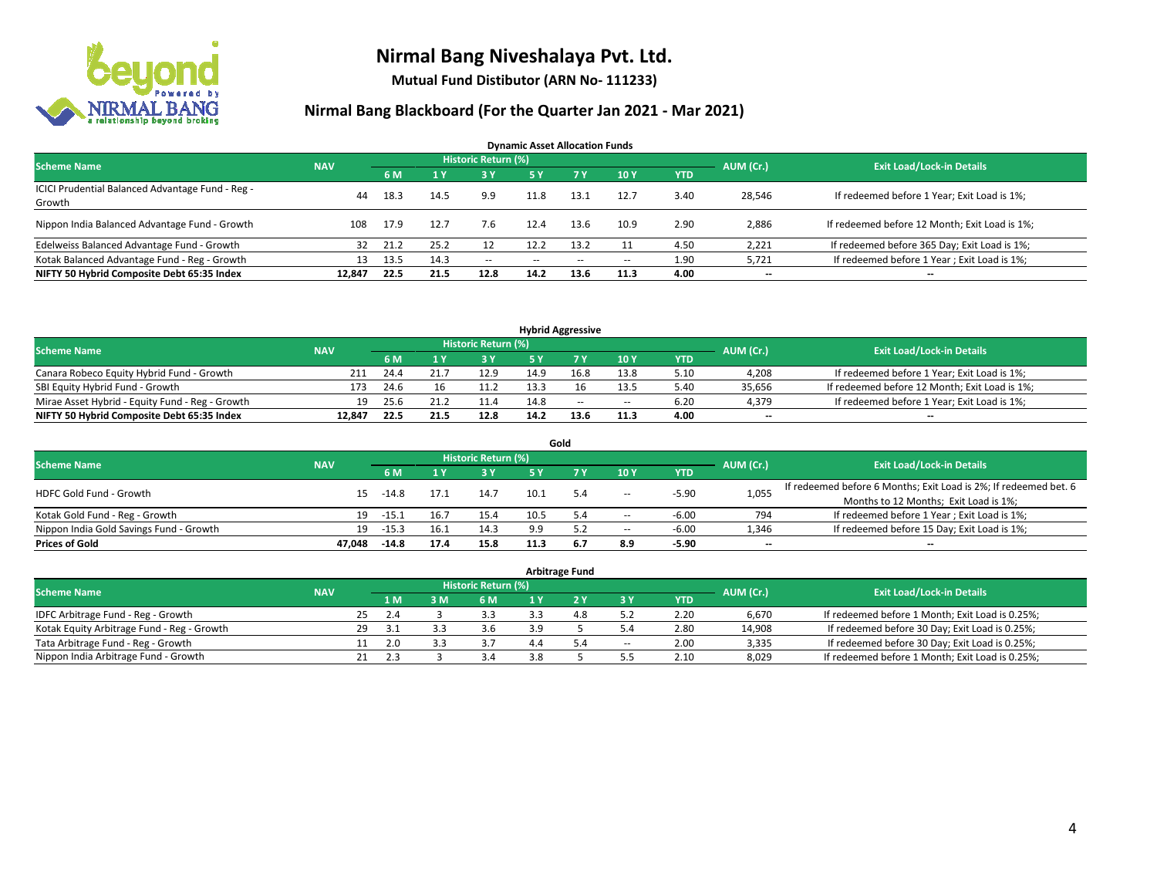

**Mutual Fund Distibutor (ARN No- 111233)**

| <b>Dynamic Asset Allocation Funds</b>                      |            |      |      |                            |      |       |                          |            |                          |                                               |  |  |  |
|------------------------------------------------------------|------------|------|------|----------------------------|------|-------|--------------------------|------------|--------------------------|-----------------------------------------------|--|--|--|
| <b>Scheme Name</b>                                         | <b>NAV</b> |      |      | <b>Historic Return (%)</b> |      |       |                          |            | AUM (Cr.)                | <b>Exit Load/Lock-in Details</b>              |  |  |  |
|                                                            |            | 6 M  |      | 3 Y                        | 5 Y  | 7 Y   | 10Y                      | <b>YTD</b> |                          |                                               |  |  |  |
| ICICI Prudential Balanced Advantage Fund - Reg -<br>Growth | 44         | 18.3 | 14.5 | 9.9                        | 11.8 | 13.1  | 12.7                     | 3.40       | 28,546                   | If redeemed before 1 Year; Exit Load is 1%;   |  |  |  |
| Nippon India Balanced Advantage Fund - Growth              | 108        | 17.9 | 12.7 | 7.6                        | 12.4 | 13.6  | 10.9                     | 2.90       | 2,886                    | If redeemed before 12 Month; Exit Load is 1%; |  |  |  |
| Edelweiss Balanced Advantage Fund - Growth                 | 32         | 21.2 | 25.2 | 12                         | 12.2 | 13.2  |                          | 4.50       | 2,221                    | If redeemed before 365 Day; Exit Load is 1%;  |  |  |  |
| Kotak Balanced Advantage Fund - Reg - Growth               | 13         | 13.5 | 14.3 | $- -$                      | --   | $- -$ | $\overline{\phantom{a}}$ | 1.90       | 5,721                    | If redeemed before 1 Year; Exit Load is 1%;   |  |  |  |
| NIFTY 50 Hybrid Composite Debt 65:35 Index                 | 12.847     | 22.5 | 21.5 | 12.8                       | 14.2 | 13.6  | 11.3                     | 4.00       | $\overline{\phantom{a}}$ | --                                            |  |  |  |

| <b>Hybrid Aggressive</b>                        |            |      |      |                            |      |      |        |            |           |                                               |  |  |  |
|-------------------------------------------------|------------|------|------|----------------------------|------|------|--------|------------|-----------|-----------------------------------------------|--|--|--|
| <b>Scheme Name</b>                              | <b>NAV</b> |      |      | <b>Historic Return (%)</b> |      |      |        |            | AUM (Cr.) | <b>Exit Load/Lock-in Details</b>              |  |  |  |
|                                                 |            | 6 M  |      | י כ                        |      |      | 10Y    | <b>YTD</b> |           |                                               |  |  |  |
| Canara Robeco Equity Hybrid Fund - Growth       |            | 24.4 |      | 12.9                       | 14.9 |      | 13.8   | 5.10       | 4,208     | If redeemed before 1 Year; Exit Load is 1%;   |  |  |  |
| SBI Equity Hybrid Fund - Growth                 | 173        | 24.6 | 16   |                            | 13.3 |      | 13.5   | 5.40       | 35.656    | If redeemed before 12 Month; Exit Load is 1%; |  |  |  |
| Mirae Asset Hybrid - Equity Fund - Reg - Growth | 19         | 25.6 |      | 11.4                       | 14.8 | $-$  | $\sim$ | 6.20       | 4,379     | If redeemed before 1 Year; Exit Load is 1%;   |  |  |  |
| NIFTY 50 Hybrid Composite Debt 65:35 Index      | 12.847     | 22.5 | 21.5 | 12.8                       | 14.2 | 13.6 | 11.3   | 4.00       | $-$       | $-$                                           |  |  |  |

| Gold                                    |            |         |      |                     |           |     |                          |            |           |                                                                  |  |  |  |
|-----------------------------------------|------------|---------|------|---------------------|-----------|-----|--------------------------|------------|-----------|------------------------------------------------------------------|--|--|--|
| <b>Scheme Name</b>                      | <b>NAV</b> |         |      | Historic Return (%) |           |     |                          |            | AUM (Cr.) | <b>Exit Load/Lock-in Details</b>                                 |  |  |  |
|                                         |            | 6 M     |      | 73 Y.               | <b>5Y</b> |     | 10Y                      | <b>YTD</b> |           |                                                                  |  |  |  |
| HDFC Gold Fund - Growth                 | 15         | $-14.8$ | 17.1 | 14.7                | 10.1      | 5.4 | $\!-$                    | $-5.90$    | 1,055     | If redeemed before 6 Months; Exit Load is 2%; If redeemed bet. 6 |  |  |  |
|                                         |            |         |      |                     |           |     |                          |            |           | Months to 12 Months; Exit Load is 1%;                            |  |  |  |
| Kotak Gold Fund - Reg - Growth          | 19         | -15.1   | 16.7 | 15.4                | 10.5      | 5.4 | $\!-$                    | $-6.00$    | 794       | If redeemed before 1 Year; Exit Load is 1%;                      |  |  |  |
| Nippon India Gold Savings Fund - Growth | 19         | $-15.3$ | 16.1 | 14.3                | 9.9       |     | $\overline{\phantom{a}}$ | $-6.00$    | 1,346     | If redeemed before 15 Day; Exit Load is 1%;                      |  |  |  |
| <b>Prices of Gold</b>                   | 47.048     | $-14.8$ | 17.4 | 15.8                | 11.3      | 6.7 | 8.9                      | $-5.90$    | --        | $- -$                                                            |  |  |  |

| <b>Arbitrage Fund</b>                      |            |    |      |     |                            |     |     |                          |            |           |                                                 |  |  |
|--------------------------------------------|------------|----|------|-----|----------------------------|-----|-----|--------------------------|------------|-----------|-------------------------------------------------|--|--|
| <b>Scheme Name</b>                         | <b>NAV</b> |    |      |     | <b>Historic Return (%)</b> |     |     |                          |            | AUM (Cr.) | <b>Exit Load/Lock-in Details</b>                |  |  |
|                                            |            |    | 4 M  | 3 M | 6 M                        |     |     | ЗY                       | <b>YTD</b> |           |                                                 |  |  |
| IDFC Arbitrage Fund - Reg - Growth         |            | 25 | 2.4  |     | 3.3                        |     | 4.8 | 5.2                      | 2.20       | 6,670     | If redeemed before 1 Month; Exit Load is 0.25%; |  |  |
| Kotak Equity Arbitrage Fund - Reg - Growth |            | 29 | -3.1 |     | 3.6                        |     |     |                          | 2.80       | 14,908    | If redeemed before 30 Day; Exit Load is 0.25%;  |  |  |
| Tata Arbitrage Fund - Reg - Growth         |            |    | 2.0  |     |                            |     | 5.4 | $\overline{\phantom{a}}$ | 2.00       | 3,335     | If redeemed before 30 Day; Exit Load is 0.25%;  |  |  |
| Nippon India Arbitrage Fund - Growth       |            |    | 2.3  |     | 4 ?                        | 3.8 |     | ر.ر                      | 2.10       | 8,029     | If redeemed before 1 Month; Exit Load is 0.25%; |  |  |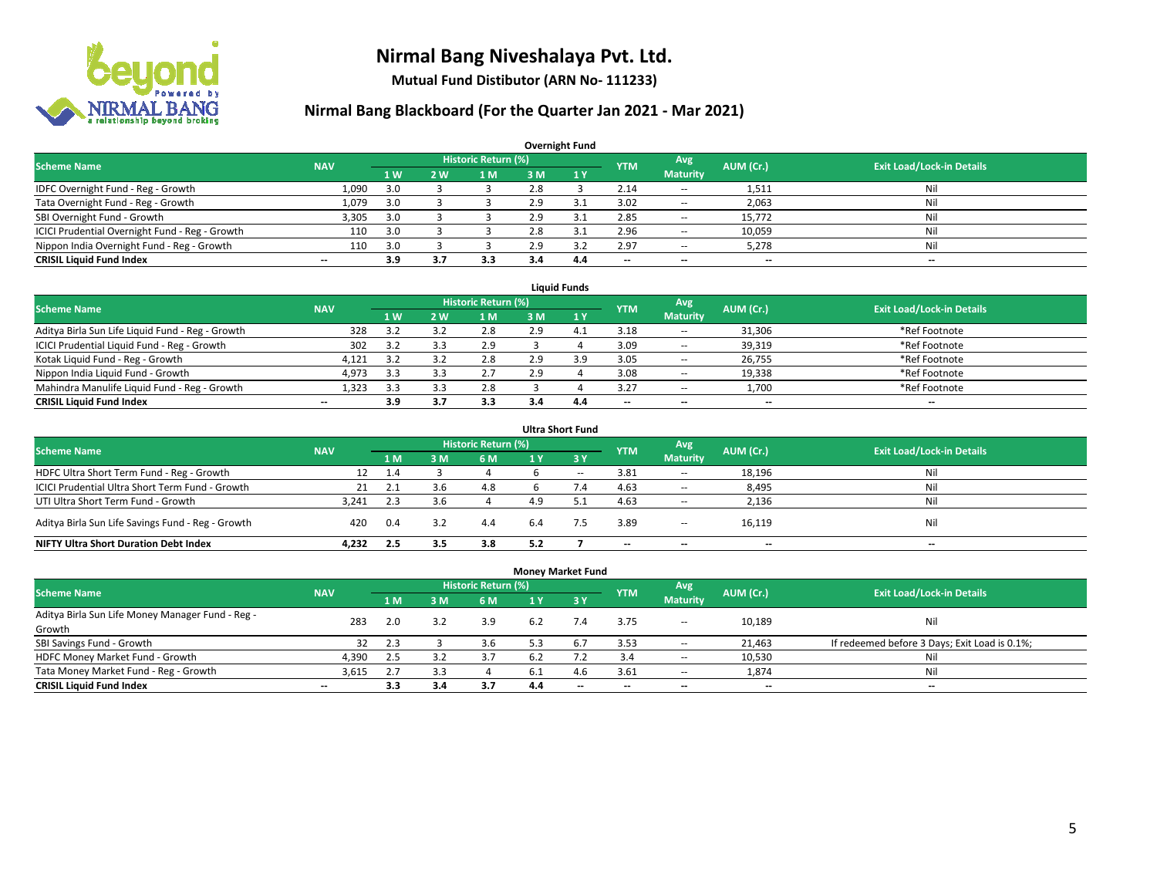

**Mutual Fund Distibutor (ARN No- 111233)**

| <b>Overnight Fund</b>                          |            |     |                |                     |     |     |                          |                          |           |                                  |  |  |  |  |
|------------------------------------------------|------------|-----|----------------|---------------------|-----|-----|--------------------------|--------------------------|-----------|----------------------------------|--|--|--|--|
| <b>Scheme Name</b>                             | <b>NAV</b> |     |                | Historic Return (%) |     |     | <b>YTM</b>               | Avg                      | AUM (Cr.) | <b>Exit Load/Lock-in Details</b> |  |  |  |  |
|                                                |            | 1W  | 2 <sub>W</sub> | 1 M                 | 3 M | 1Y  |                          | <b>Maturity</b>          |           |                                  |  |  |  |  |
| IDFC Overnight Fund - Reg - Growth             | 1,090      | 3.0 |                |                     | 2.8 |     | 2.14                     | $\!-$                    | 1,511     | Nil                              |  |  |  |  |
| Tata Overnight Fund - Reg - Growth             | 1,079      | 3.0 |                |                     | 2.9 | 3.1 | 3.02                     | $\hspace{0.05cm} \cdots$ | 2,063     | Nil                              |  |  |  |  |
| SBI Overnight Fund - Growth                    | 3,305      | 3.0 |                |                     | 2.9 | 3.1 | 2.85                     | $\hspace{0.05cm} \ldots$ | 15,772    | Nil                              |  |  |  |  |
| ICICI Prudential Overnight Fund - Reg - Growth | 110        | 3.0 |                |                     | 2.8 | 3.1 | 2.96                     | $\hspace{0.05cm} \ldots$ | 10,059    | Nil                              |  |  |  |  |
| Nippon India Overnight Fund - Reg - Growth     | 110        | 3.0 |                |                     | 2.9 |     | 2.97                     | $\!-$                    | 5,278     | Nil                              |  |  |  |  |
| <b>CRISIL Liquid Fund Index</b>                | $- -$      | 3.9 | 3.7            | 3.3                 |     | 4.4 | $\overline{\phantom{a}}$ | --                       | --        | $\overline{\phantom{a}}$         |  |  |  |  |

| <b>Liauid Funds</b>                              |            |     |           |                     |     |     |                          |                          |           |                                  |  |  |  |
|--------------------------------------------------|------------|-----|-----------|---------------------|-----|-----|--------------------------|--------------------------|-----------|----------------------------------|--|--|--|
| Scheme Name                                      | <b>NAV</b> |     |           | Historic Return (%) |     |     | <b>YTM</b>               | Avg                      | AUM (Cr.) | <b>Exit Load/Lock-in Details</b> |  |  |  |
|                                                  |            | 1 W | <b>2W</b> | 1 M                 | зM  |     |                          | <b>Maturity</b>          |           |                                  |  |  |  |
| Aditya Birla Sun Life Liquid Fund - Reg - Growth | 328        | 31  |           | 2.8                 | 2.9 |     | 3.18                     | $\overline{\phantom{a}}$ | 31,306    | *Ref Footnote                    |  |  |  |
| ICICI Prudential Liquid Fund - Reg - Growth      | 302        | 3.2 |           | 2.9                 |     |     | 3.09                     | $\overline{\phantom{a}}$ | 39,319    | *Ref Footnote                    |  |  |  |
| Kotak Liquid Fund - Reg - Growth                 | 4,121      | 33  |           | 2.8                 | 2.9 | ιq  | 3.05                     | $\overline{\phantom{a}}$ | 26,755    | *Ref Footnote                    |  |  |  |
| Nippon India Liquid Fund - Growth                | 4,973      | 3.3 |           | 2.7                 | 2.9 |     | 3.08                     | $\sim$                   | 19,338    | *Ref Footnote                    |  |  |  |
| Mahindra Manulife Liquid Fund - Reg - Growth     | 1.323      | 3.3 |           | 2.8                 |     |     | 3.27                     | $\overline{\phantom{a}}$ | 1,700     | *Ref Footnote                    |  |  |  |
| <b>CRISIL Liquid Fund Index</b>                  | $- -$      | 3.9 | 3.7       | 3.3                 | 3.4 | 4.4 | $\overline{\phantom{a}}$ | $\overline{\phantom{a}}$ | $- -$     | $- -$                            |  |  |  |

| <b>Ultra Short Fund</b>                           |            |     |                |                            |     |       |            |                          |                          |                                  |  |  |  |
|---------------------------------------------------|------------|-----|----------------|----------------------------|-----|-------|------------|--------------------------|--------------------------|----------------------------------|--|--|--|
| <b>Scheme Name</b>                                | <b>NAV</b> |     |                | <b>Historic Return (%)</b> |     |       | <b>YTM</b> | Avg                      | AUM (Cr.)                | <b>Exit Load/Lock-in Details</b> |  |  |  |
|                                                   |            | 1 M | 3 <sub>M</sub> | <b>6 M</b>                 | 1 Y | $-3V$ |            | <b>Maturity</b>          |                          |                                  |  |  |  |
| HDFC Ultra Short Term Fund - Reg - Growth         | 12         | 1.4 |                |                            |     | $- -$ | 3.81       | $\sim$                   | 18,196                   | Ni                               |  |  |  |
| ICICI Prudential Ultra Short Term Fund - Growth   | 21         |     | 3.6            | 4.8                        |     |       | 4.63       | $\overline{\phantom{a}}$ | 8,495                    | Ni                               |  |  |  |
| UTI Ultra Short Term Fund - Growth                | 3.241      | 2.3 | 3.6            |                            | 4.9 |       | 4.63       | $\overline{\phantom{a}}$ | 2,136                    | Ni                               |  |  |  |
| Aditya Birla Sun Life Savings Fund - Reg - Growth | 420        | 0.4 | 3.2            | 4.4                        | 6.4 |       | 3.89       | $\overline{\phantom{a}}$ | 16,119                   | Nil                              |  |  |  |
| <b>NIFTY Ultra Short Duration Debt Index</b>      | 4.232      | 2.5 | 3.5            | 3.8                        | 5.2 |       | --         | $\overline{\phantom{a}}$ | $\overline{\phantom{a}}$ | $-$                              |  |  |  |

| <b>Money Market Fund</b>                         |                          |                |     |                            |      |     |                          |                          |           |                                               |  |  |  |  |
|--------------------------------------------------|--------------------------|----------------|-----|----------------------------|------|-----|--------------------------|--------------------------|-----------|-----------------------------------------------|--|--|--|--|
| <b>Scheme Name</b>                               | <b>NAV</b>               |                |     | <b>Historic Return (%)</b> |      |     | <b>YTM</b>               | Avg                      | AUM (Cr.) | <b>Exit Load/Lock-in Details</b>              |  |  |  |  |
|                                                  |                          | 1 <sub>M</sub> | 3M  | 6 M                        | 1 Y  | '3V |                          | <b>Maturity</b>          |           |                                               |  |  |  |  |
| Aditya Birla Sun Life Money Manager Fund - Reg - | 283                      | 2.0            | 3.2 | 3.9                        | 6.2  | 7.4 | 3.75                     |                          | 10,189    | Nil                                           |  |  |  |  |
| Growth                                           |                          |                |     |                            |      |     |                          | $\overline{\phantom{a}}$ |           |                                               |  |  |  |  |
| SBI Savings Fund - Growth                        | 32                       | 2.3            |     | 3.6                        | 5.3  | 6.7 | 3.53                     | $\overline{\phantom{a}}$ | 21,463    | If redeemed before 3 Days; Exit Load is 0.1%; |  |  |  |  |
| HDFC Money Market Fund - Growth                  | 4,390                    | 2.5            | 3.2 | 3.7                        | -6.2 |     | 3.4                      | $\overline{\phantom{a}}$ | 10,530    | Nil                                           |  |  |  |  |
| Tata Money Market Fund - Reg - Growth            | 3,615                    | 2.7            | 3.3 |                            | -6.1 | 4.6 | 3.61                     | $\overline{\phantom{a}}$ | 1,874     | Nil                                           |  |  |  |  |
| <b>CRISIL Liquid Fund Index</b>                  | $\overline{\phantom{a}}$ | 3.3            | 3.4 | 3.7                        | 4.4  | $-$ | $\overline{\phantom{a}}$ | $\overline{\phantom{a}}$ | $- -$     | $-$                                           |  |  |  |  |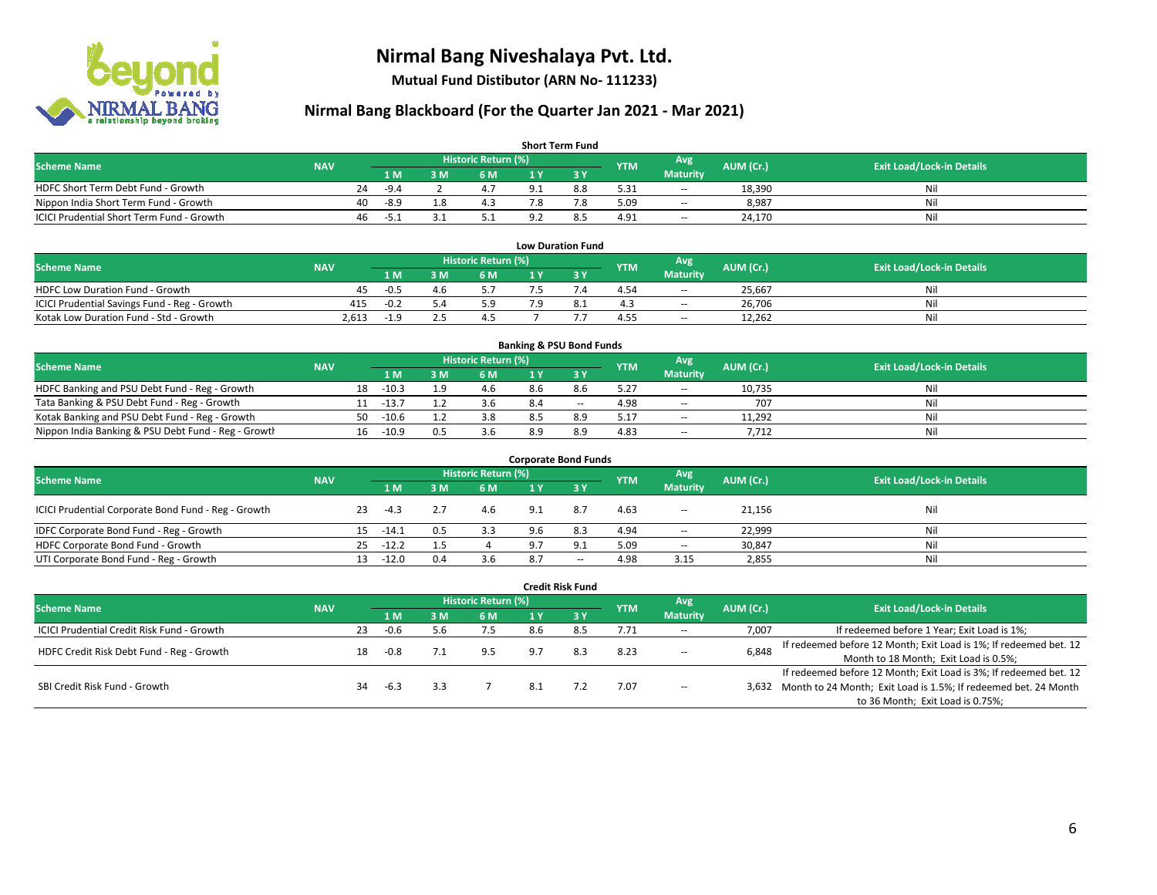

**Mutual Fund Distibutor (ARN No- 111233)**

| <b>Short Term Fund</b>                           |            |    |                |     |                            |     |     |            |                          |           |                                  |  |  |
|--------------------------------------------------|------------|----|----------------|-----|----------------------------|-----|-----|------------|--------------------------|-----------|----------------------------------|--|--|
| <b>Scheme Name</b>                               | <b>NAV</b> |    |                |     | <b>Historic Return (%)</b> |     |     | <b>YTM</b> | Avg <sup>1</sup>         | AUM (Cr.) | <b>Exit Load/Lock-in Details</b> |  |  |
|                                                  |            |    | 1 <sub>M</sub> | 3 M | 6 M                        |     |     |            | <b>Maturity</b>          |           |                                  |  |  |
| HDFC Short Term Debt Fund - Growth               |            | 24 | $-94$          |     | $A$ 7                      | ∴ ۵ | 8.8 | 5.31       | $\!-$                    | 18,390    | Ni                               |  |  |
| Nippon India Short Term Fund - Growth            |            | 40 | -8.9           | 10  | 4.3                        |     | 7.8 | 5.09       | $\overline{\phantom{a}}$ | 8,987     | Ni                               |  |  |
| <b>ICICI Prudential Short Term Fund - Growth</b> |            | 46 | ב.כ-           |     |                            |     | 8.5 | 4.91       | $\!-$                    | 24,170    | Nil                              |  |  |

| <b>Low Duration Fund</b>                     |            |        |      |                     |    |     |            |                          |           |                                  |  |  |  |
|----------------------------------------------|------------|--------|------|---------------------|----|-----|------------|--------------------------|-----------|----------------------------------|--|--|--|
| <b>Scheme Name</b>                           | <b>NAV</b> |        |      | Historic Return (%) |    |     | <b>YTM</b> | Avg                      | AUM (Cr.) | <b>Exit Load/Lock-in Details</b> |  |  |  |
|                                              |            | '1 M   | : M  | <b>6M</b>           |    |     |            | <b>Maturity</b>          |           |                                  |  |  |  |
| <b>HDFC Low Duration Fund - Growth</b>       | 45         | $-0.5$ | 4. D |                     |    |     | 4.54       | $\overline{\phantom{a}}$ | 25.667    | Nil                              |  |  |  |
| ICICI Prudential Savings Fund - Reg - Growth | 415        | $-0.2$ |      | 5.9                 | ۰α | د.ه | 4.3        | $\overline{\phantom{a}}$ | 26,706    | Nil                              |  |  |  |
| Kotak Low Duration Fund - Std - Growth       | 2.613      | -1.5   |      |                     |    |     | 4.55       | $\sim$                   | 12,262    | Nil                              |  |  |  |

| <b>Banking &amp; PSU Bond Funds</b>                 |            |    |         |     |                     |     |        |            |                 |           |                                  |  |  |
|-----------------------------------------------------|------------|----|---------|-----|---------------------|-----|--------|------------|-----------------|-----------|----------------------------------|--|--|
| <b>Scheme Name</b>                                  | <b>NAV</b> |    |         |     | Historic Return (%) |     |        | <b>YTM</b> | Avg             | AUM (Cr.) | <b>Exit Load/Lock-in Details</b> |  |  |
|                                                     |            |    | 1 M     | : M | 6 M                 |     |        |            | <b>Maturity</b> |           |                                  |  |  |
| HDFC Banking and PSU Debt Fund - Reg - Growth       |            | 18 | $-10.3$ |     |                     | 8.6 | 8.6    | 5.27       | $\sim$          | 10.735    | Nil                              |  |  |
| Tata Banking & PSU Debt Fund - Reg - Growth         |            |    | $-13.$  |     | 3.b                 | 8 A | $\sim$ | 4.98       | $\sim$          | 707       | Nil                              |  |  |
| Kotak Banking and PSU Debt Fund - Reg - Growth      |            | 50 | $-10.6$ |     | 3.8                 | 8.5 | 8.9    | 5.17       | $\sim$          | 11,292    | Nil                              |  |  |
| Nippon India Banking & PSU Debt Fund - Reg - Growth |            | 16 | $-10.9$ | 0.5 | 3.6                 | 8.9 | 8.9    | 4.83       | $\sim$          | 7,712     | Nil                              |  |  |

| <b>Corporate Bond Funds</b>                         |            |     |         |     |                     |     |       |            |                          |           |                                  |  |  |
|-----------------------------------------------------|------------|-----|---------|-----|---------------------|-----|-------|------------|--------------------------|-----------|----------------------------------|--|--|
| <b>Scheme Name</b>                                  | <b>NAV</b> |     |         |     | Historic Return (%) |     |       | <b>YTM</b> | Avg                      | AUM (Cr.) | <b>Exit Load/Lock-in Details</b> |  |  |
|                                                     |            |     | 1 M     | 3 M | 6 M                 | 1 Y | -3 Y  |            | <b>Maturity</b>          |           |                                  |  |  |
| ICICI Prudential Corporate Bond Fund - Reg - Growth |            | 23  | $-4.3$  |     | 4.6                 | 9.1 | 8.7   | 4.63       | $\overline{\phantom{a}}$ | 21.156    | Nil                              |  |  |
| IDFC Corporate Bond Fund - Reg - Growth             |            | 15  | $-14.1$ | 0.5 | 3.3                 |     | 8.3   | 4.94       | $\sim$                   | 22,999    | Nil                              |  |  |
| HDFC Corporate Bond Fund - Growth                   |            | 25  | $-12.2$ |     |                     | 9.7 | 9.1   | 5.09       | $\overline{\phantom{a}}$ | 30,847    | Nil                              |  |  |
| UTI Corporate Bond Fund - Reg - Growth              |            | 13. | $-12.0$ | 0.4 | 3.6                 | 8.7 | $- -$ | 4.98       | 3.15                     | 2,855     | Nil                              |  |  |

|                                            |            |    |                |     |                     |     | <b>Credit Risk Fund</b> |            |                        |           |                                                                       |
|--------------------------------------------|------------|----|----------------|-----|---------------------|-----|-------------------------|------------|------------------------|-----------|-----------------------------------------------------------------------|
| <b>Scheme Name</b>                         | <b>NAV</b> |    |                |     | Historic Return (%) |     |                         | <b>YTM</b> | Avg<br><b>Maturity</b> | AUM (Cr.) | <b>Exit Load/Lock-in Details</b>                                      |
|                                            |            |    | 1 <sub>M</sub> | 3 M | 6 M                 | 1 Y | $\overline{3V}$         |            |                        |           |                                                                       |
| ICICI Prudential Credit Risk Fund - Growth |            | 23 | $-0.6$         | 5.6 | 7.5                 | 8.6 | 8.5                     | 7.71       | $\sim$                 | 7,007     | If redeemed before 1 Year; Exit Load is 1%;                           |
| HDFC Credit Risk Debt Fund - Reg - Growth  |            | 18 | $-0.8$         |     | 9.5                 | 9.7 | 8.3                     | 8.23       | $- -$                  | 6,848     | If redeemed before 12 Month; Exit Load is 1%; If redeemed bet. 12     |
|                                            |            |    |                |     |                     |     |                         |            |                        |           | Month to 18 Month; Exit Load is 0.5%;                                 |
|                                            |            |    |                |     |                     |     |                         |            |                        |           | If redeemed before 12 Month; Exit Load is 3%; If redeemed bet. 12     |
| SBI Credit Risk Fund - Growth              |            | 34 | -6.3           |     |                     | 8.1 |                         | 7.07       | $\sim$                 |           | 3,632 Month to 24 Month; Exit Load is 1.5%; If redeemed bet. 24 Month |
|                                            |            |    |                |     |                     |     |                         |            |                        |           | to 36 Month; Exit Load is 0.75%;                                      |